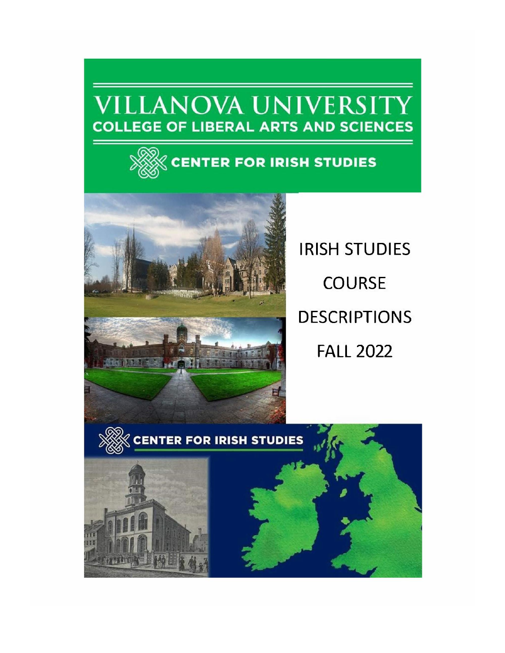# **VILLANOVA UNIVERSITY COLLEGE OF LIBERAL ARTS AND SCIENCES**





**IRISH STUDIES COURSE DESCRIPTIONS FALL 2022** 

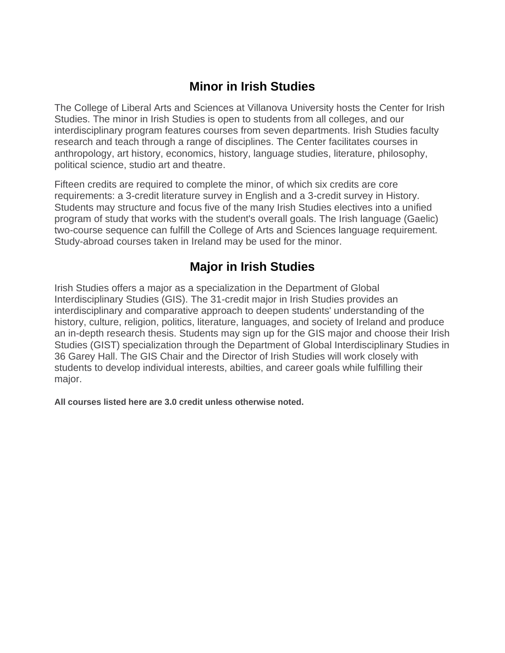# **Minor in Irish Studies**

The College of Liberal Arts and Sciences at Villanova University hosts the Center for Irish Studies. The minor in Irish Studies is open to students from all colleges, and our interdisciplinary program features courses from seven departments. Irish Studies faculty research and teach through a range of disciplines. The Center facilitates courses in anthropology, art history, economics, history, language studies, literature, philosophy, political science, studio art and theatre.

Fifteen credits are required to complete the minor, of which six credits are core requirements: a 3-credit literature survey in English and a 3-credit survey in History. Students may structure and focus five of the many Irish Studies electives into a unified program of study that works with the student's overall goals. The Irish language (Gaelic) two-course sequence can fulfill the College of Arts and Sciences language requirement. Study-abroad courses taken in Ireland may be used for the minor.

# **Major in Irish Studies**

Irish Studies offers a major as a specialization in the Department of Global Interdisciplinary Studies (GIS). The 31-credit major in Irish Studies provides an interdisciplinary and comparative approach to deepen students' understanding of the history, culture, religion, politics, literature, languages, and society of Ireland and produce an in-depth research thesis. Students may sign up for the GIS major and choose their Irish Studies (GIST) specialization through the Department of Global Interdisciplinary Studies in 36 Garey Hall. The GIS Chair and the Director of Irish Studies will work closely with students to develop individual interests, abilties, and career goals while fulfilling their major.

**All courses listed here are 3.0 credit unless otherwise noted.**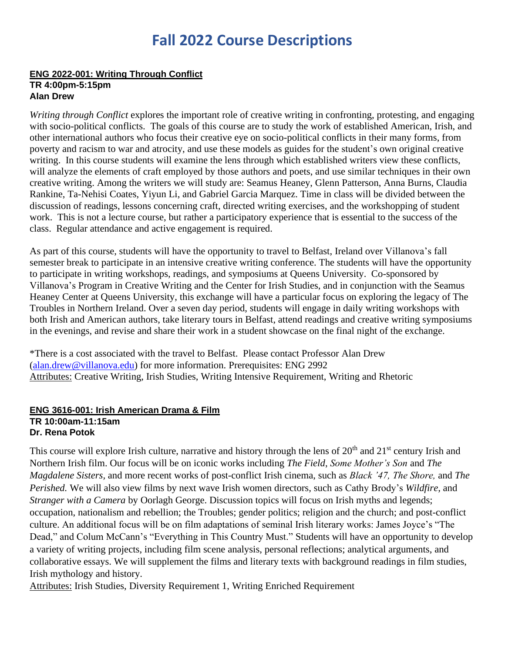# **Fall 2022 Course Descriptions**

### **ENG 2022-001: Writing Through Conflict TR 4:00pm-5:15pm Alan Drew**

*Writing through Conflict* explores the important role of creative writing in confronting, protesting, and engaging with socio-political conflicts. The goals of this course are to study the work of established American, Irish, and other international authors who focus their creative eye on socio-political conflicts in their many forms, from poverty and racism to war and atrocity, and use these models as guides for the student's own original creative writing. In this course students will examine the lens through which established writers view these conflicts, will analyze the elements of craft employed by those authors and poets, and use similar techniques in their own creative writing. Among the writers we will study are: Seamus Heaney, Glenn Patterson, Anna Burns, Claudia Rankine, Ta-Nehisi Coates, Yiyun Li, and Gabriel Garcia Marquez. Time in class will be divided between the discussion of readings, lessons concerning craft, directed writing exercises, and the workshopping of student work. This is not a lecture course, but rather a participatory experience that is essential to the success of the class. Regular attendance and active engagement is required.

As part of this course, students will have the opportunity to travel to Belfast, Ireland over Villanova's fall semester break to participate in an intensive creative writing conference. The students will have the opportunity to participate in writing workshops, readings, and symposiums at Queens University. Co-sponsored by Villanova's Program in Creative Writing and the Center for Irish Studies, and in conjunction with the Seamus Heaney Center at Queens University, this exchange will have a particular focus on exploring the legacy of The Troubles in Northern Ireland. Over a seven day period, students will engage in daily writing workshops with both Irish and American authors, take literary tours in Belfast, attend readings and creative writing symposiums in the evenings, and revise and share their work in a student showcase on the final night of the exchange.

\*There is a cost associated with the travel to Belfast. Please contact Professor Alan Drew [\(alan.drew@villanova.edu\)](mailto:alan.drew@villanova.edu) for more information. Prerequisites: ENG 2992 Attributes: Creative Writing, Irish Studies, Writing Intensive Requirement, Writing and Rhetoric

### **ENG 3616-001: Irish American Drama & Film TR 10:00am-11:15am Dr. Rena Potok**

This course will explore Irish culture, narrative and history through the lens of  $20<sup>th</sup>$  and  $21<sup>st</sup>$  century Irish and Northern Irish film. Our focus will be on iconic works including *The Field*, *Some Mother's Son* and *The Magdalene Sisters,* and more recent works of post-conflict Irish cinema, such as *Black '47, The Shore,* and *The Perished.* We will also view films by next wave Irish women directors*,* such as Cathy Brody's *Wildfire,* and *Stranger with a Camera* by Oorlagh George. Discussion topics will focus on Irish myths and legends; occupation, nationalism and rebellion; the Troubles; gender politics; religion and the church; and post-conflict culture. An additional focus will be on film adaptations of seminal Irish literary works: James Joyce's "The Dead," and Colum McCann's "Everything in This Country Must." Students will have an opportunity to develop a variety of writing projects, including film scene analysis, personal reflections; analytical arguments, and collaborative essays. We will supplement the films and literary texts with background readings in film studies, Irish mythology and history.

Attributes: Irish Studies, Diversity Requirement 1, Writing Enriched Requirement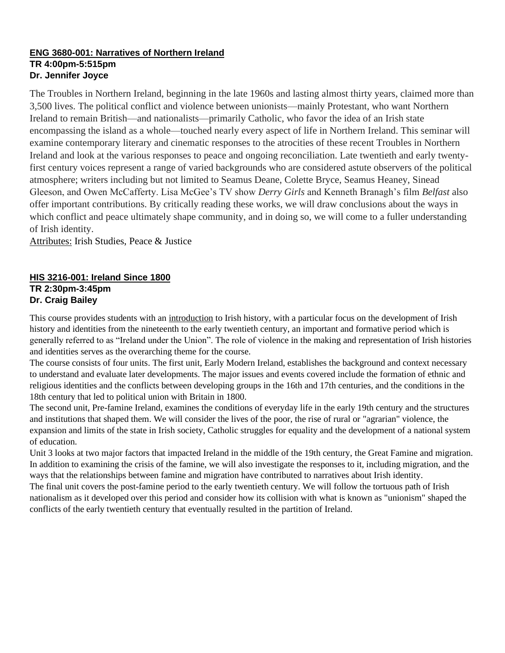### **ENG 3680-001: Narratives of Northern Ireland TR 4:00pm-5:515pm Dr. Jennifer Joyce**

The Troubles in Northern Ireland, beginning in the late 1960s and lasting almost thirty years, claimed more than 3,500 lives. The political conflict and violence between unionists—mainly Protestant, who want Northern Ireland to remain British—and nationalists—primarily Catholic, who favor the idea of an Irish state encompassing the island as a whole—touched nearly every aspect of life in Northern Ireland. This seminar will examine contemporary literary and cinematic responses to the atrocities of these recent Troubles in Northern Ireland and look at the various responses to peace and ongoing reconciliation. Late twentieth and early twentyfirst century voices represent a range of varied backgrounds who are considered astute observers of the political atmosphere; writers including but not limited to Seamus Deane, Colette Bryce, Seamus Heaney, Sinead Gleeson, and Owen McCafferty. Lisa McGee's TV show *Derry Girls* and Kenneth Branagh's film *Belfast* also offer important contributions. By critically reading these works, we will draw conclusions about the ways in which conflict and peace ultimately shape community, and in doing so, we will come to a fuller understanding of Irish identity.

Attributes: Irish Studies, Peace & Justice

# **HIS 3216-001: Ireland Since 1800 TR 2:30pm-3:45pm Dr. Craig Bailey**

This course provides students with an introduction to Irish history, with a particular focus on the development of Irish history and identities from the nineteenth to the early twentieth century, an important and formative period which is generally referred to as "Ireland under the Union". The role of violence in the making and representation of Irish histories and identities serves as the overarching theme for the course.

The course consists of four units. The first unit, Early Modern Ireland, establishes the background and context necessary to understand and evaluate later developments. The major issues and events covered include the formation of ethnic and religious identities and the conflicts between developing groups in the 16th and 17th centuries, and the conditions in the 18th century that led to political union with Britain in 1800.

The second unit, Pre-famine Ireland, examines the conditions of everyday life in the early 19th century and the structures and institutions that shaped them. We will consider the lives of the poor, the rise of rural or "agrarian" violence, the expansion and limits of the state in Irish society, Catholic struggles for equality and the development of a national system of education.

Unit 3 looks at two major factors that impacted Ireland in the middle of the 19th century, the Great Famine and migration. In addition to examining the crisis of the famine, we will also investigate the responses to it, including migration, and the ways that the relationships between famine and migration have contributed to narratives about Irish identity.

The final unit covers the post-famine period to the early twentieth century. We will follow the tortuous path of Irish nationalism as it developed over this period and consider how its collision with what is known as "unionism" shaped the conflicts of the early twentieth century that eventually resulted in the partition of Ireland.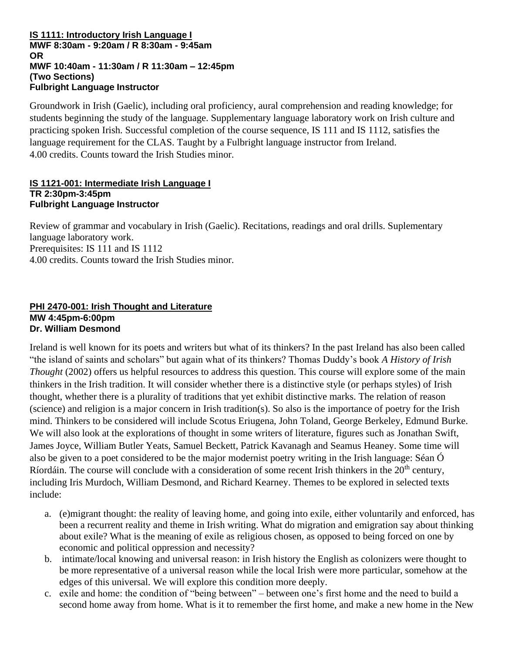#### **IS 1111: Introductory Irish Language I MWF 8:30am - 9:20am / R 8:30am - 9:45am OR MWF 10:40am - 11:30am / R 11:30am – 12:45pm (Two Sections) Fulbright Language Instructor**

Groundwork in Irish (Gaelic), including oral proficiency, aural comprehension and reading knowledge; for students beginning the study of the language. Supplementary language laboratory work on Irish culture and practicing spoken Irish. Successful completion of the course sequence, IS 111 and IS 1112, satisfies the language requirement for the CLAS. Taught by a Fulbright language instructor from Ireland. 4.00 credits. Counts toward the Irish Studies minor.

#### **IS 1121-001: Intermediate Irish Language I TR 2:30pm-3:45pm Fulbright Language Instructor**

Review of grammar and vocabulary in Irish (Gaelic). Recitations, readings and oral drills. Suplementary language laboratory work. Prerequisites: IS 111 and IS 1112 4.00 credits. Counts toward the Irish Studies minor.

# **PHI 2470-001: Irish Thought and Literature MW 4:45pm-6:00pm Dr. William Desmond**

Ireland is well known for its poets and writers but what of its thinkers? In the past Ireland has also been called "the island of saints and scholars" but again what of its thinkers? Thomas Duddy's book *A History of Irish Thought* (2002) offers us helpful resources to address this question. This course will explore some of the main thinkers in the Irish tradition. It will consider whether there is a distinctive style (or perhaps styles) of Irish thought, whether there is a plurality of traditions that yet exhibit distinctive marks. The relation of reason (science) and religion is a major concern in Irish tradition(s). So also is the importance of poetry for the Irish mind. Thinkers to be considered will include Scotus Eriugena, John Toland, George Berkeley, Edmund Burke. We will also look at the explorations of thought in some writers of literature, figures such as Jonathan Swift, James Joyce, William Butler Yeats, Samuel Beckett, Patrick Kavanagh and Seamus Heaney. Some time will also be given to a poet considered to be the major modernist poetry writing in the Irish language: Séan Ó Ríordáin. The course will conclude with a consideration of some recent Irish thinkers in the 20<sup>th</sup> century, including Iris Murdoch, William Desmond, and Richard Kearney. Themes to be explored in selected texts include:

- a. (e)migrant thought: the reality of leaving home, and going into exile, either voluntarily and enforced, has been a recurrent reality and theme in Irish writing. What do migration and emigration say about thinking about exile? What is the meaning of exile as religious chosen, as opposed to being forced on one by economic and political oppression and necessity?
- b. intimate/local knowing and universal reason: in Irish history the English as colonizers were thought to be more representative of a universal reason while the local Irish were more particular, somehow at the edges of this universal. We will explore this condition more deeply.
- c. exile and home: the condition of "being between" between one's first home and the need to build a second home away from home. What is it to remember the first home, and make a new home in the New